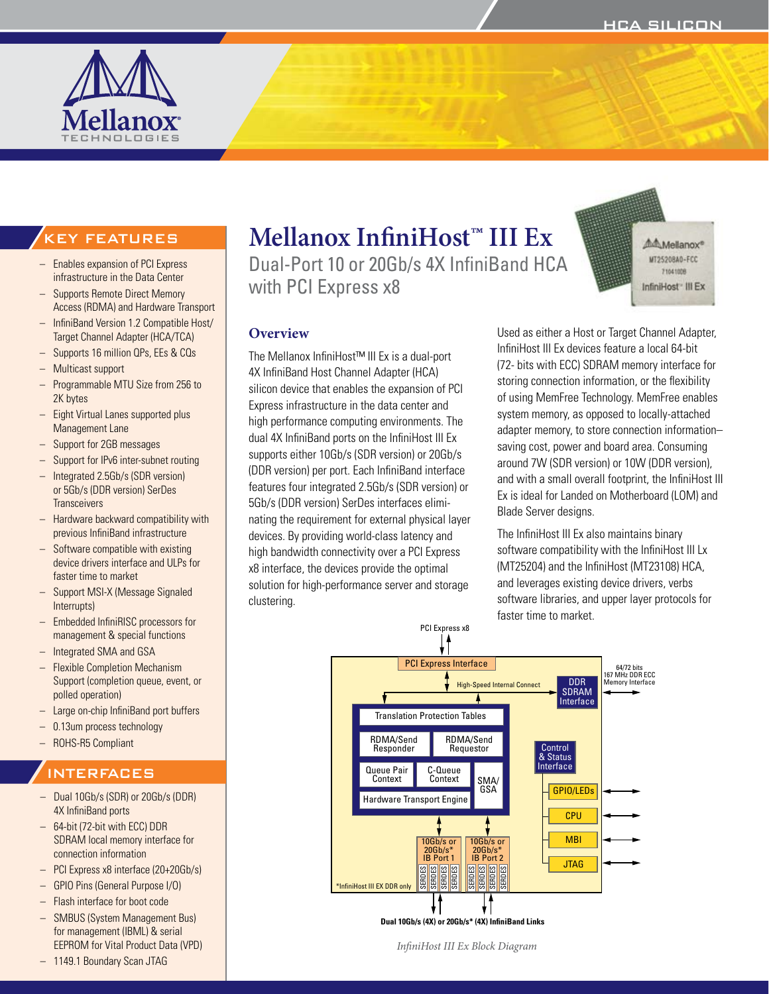

# **Mellanox InfiniHost™ III Ex**

Dual-Port 10 or 20Gb/s 4X InfiniBand HCA with PCI Express x8



#### **Overview**

The Mellanox InfiniHost™ III Ex is a dual-port 4X InfiniBand Host Channel Adapter (HCA) silicon device that enables the expansion of PCI Express infrastructure in the data center and high performance computing environments. The dual 4X InfiniBand ports on the InfiniHost III Ex supports either 10Gb/s (SDR version) or 20Gb/s (DDR version) per port. Each InfiniBand interface features four integrated 2.5Gb/s (SDR version) or 5Gb/s (DDR version) SerDes interfaces eliminating the requirement for external physical layer devices. By providing world-class latency and high bandwidth connectivity over a PCI Express x8 interface, the devices provide the optimal solution for high-performance server and storage clustering.

Used as either a Host or Target Channel Adapter, InfiniHost III Ex devices feature a local 64-bit (72- bits with ECC) SDRAM memory interface for storing connection information, or the flexibility of using MemFree Technology. MemFree enables system memory, as opposed to locally-attached adapter memory, to store connection information– saving cost, power and board area. Consuming around 7W (SDR version) or 10W (DDR version), and with a small overall footprint, the InfiniHost III Ex is ideal for Landed on Motherboard (LOM) and Blade Server designs.

The InfiniHost III Ex also maintains binary software compatibility with the InfiniHost III Lx (MT25204) and the InfiniHost (MT23108) HCA, and leverages existing device drivers, verbs software libraries, and upper layer protocols for faster time to market.



*InfiniHost III Ex Block Diagram*

# KEY FEATURES

- Enables expansion of PCI Express infrastructure in the Data Center
- Supports Remote Direct Memory Access (RDMA) and Hardware Transport
- InfiniBand Version 1.2 Compatible Host/ Target Channel Adapter (HCA/TCA)
- Supports 16 million QPs, EEs & CQs
- Multicast support
- Programmable MTU Size from 256 to 2K bytes
- Eight Virtual Lanes supported plus Management Lane
- Support for 2GB messages
- Support for IPv6 inter-subnet routing
- Integrated 2.5Gb/s (SDR version) or 5Gb/s (DDR version) SerDes **Transceivers**
- Hardware backward compatibility with previous InfiniBand infrastructure
- Software compatible with existing device drivers interface and ULPs for faster time to market
- Support MSI-X (Message Signaled Interrupts)
- Embedded InfiniRISC processors for management & special functions
- Integrated SMA and GSA
- Flexible Completion Mechanism Support (completion queue, event, or polled operation)
- Large on-chip InfiniBand port buffers
- 0.13um process technology
- ROHS-R5 Compliant

#### INTERFACES

- Dual 10Gb/s (SDR) or 20Gb/s (DDR) 4X InfiniBand ports
- 64-bit (72-bit with ECC) DDR SDRAM local memory interface for connection information
- PCI Express x8 interface (20+20Gb/s)
- GPIO Pins (General Purpose I/O)
- Flash interface for boot code
- SMBUS (System Management Bus) for management (IBML) & serial EEPROM for Vital Product Data (VPD)
- 1149.1 Boundary Scan JTAG